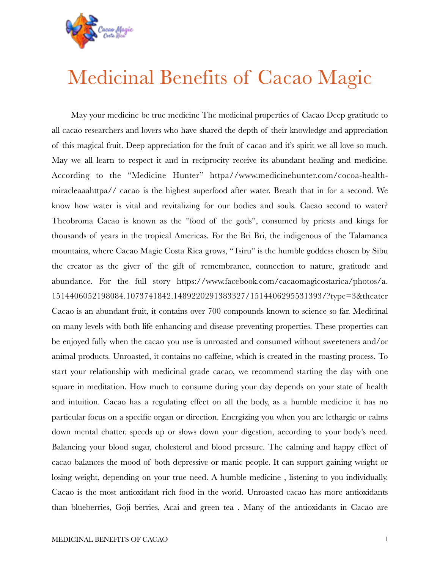

## Medicinal Benefits of Cacao Magic

May your medicine be true medicine The medicinal properties of Cacao Deep gratitude to all cacao researchers and lovers who have shared the depth of their knowledge and appreciation of this magical fruit. Deep appreciation for the fruit of cacao and it's spirit we all love so much. May we all learn to respect it and in reciprocity receive its abundant healing and medicine. According to the "Medicine Hunter" httpa//www.medicinehunter.com/cocoa-healthmiracleaaahttpa// cacao is the highest superfood after water. Breath that in for a second. We know how water is vital and revitalizing for our bodies and souls. Cacao second to water? Theobroma Cacao is known as the "food of the gods", consumed by priests and kings for thousands of years in the tropical Americas. For the Bri Bri, the indigenous of the Talamanca mountains, where Cacao Magic Costa Rica grows, "Tsiru" is the humble goddess chosen by Sibu the creator as the giver of the gift of remembrance, connection to nature, gratitude and abundance. For the full story https://www.facebook.com/cacaomagicostarica/photos/a. 1514406052198084.1073741842.1489220291383327/1514406295531393/?type=3&theater Cacao is an abundant fruit, it contains over 700 compounds known to science so far. Medicinal on many levels with both life enhancing and disease preventing properties. These properties can be enjoyed fully when the cacao you use is unroasted and consumed without sweeteners and/or animal products. Unroasted, it contains no caffeine, which is created in the roasting process. To start your relationship with medicinal grade cacao, we recommend starting the day with one square in meditation. How much to consume during your day depends on your state of health and intuition. Cacao has a regulating effect on all the body, as a humble medicine it has no particular focus on a specific organ or direction. Energizing you when you are lethargic or calms down mental chatter. speeds up or slows down your digestion, according to your body's need. Balancing your blood sugar, cholesterol and blood pressure. The calming and happy effect of cacao balances the mood of both depressive or manic people. It can support gaining weight or losing weight, depending on your true need. A humble medicine , listening to you individually. Cacao is the most antioxidant rich food in the world. Unroasted cacao has more antioxidants than blueberries, Goji berries, Acai and green tea . Many of the antioxidants in Cacao are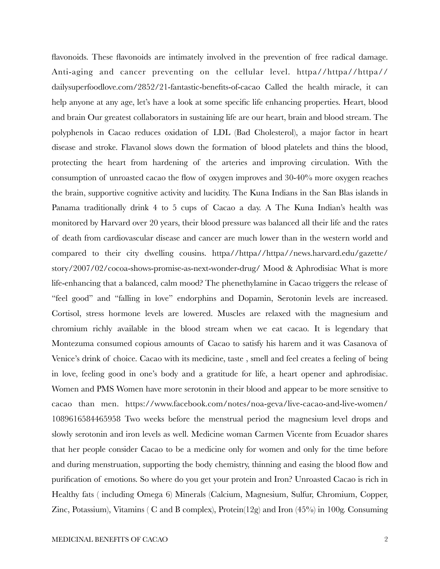flavonoids. These flavonoids are intimately involved in the prevention of free radical damage. Anti-aging and cancer preventing on the cellular level. httpa//httpa//httpa// dailysuperfoodlove.com/2852/21-fantastic-benefits-of-cacao Called the health miracle, it can help anyone at any age, let's have a look at some specific life enhancing properties. Heart, blood and brain Our greatest collaborators in sustaining life are our heart, brain and blood stream. The polyphenols in Cacao reduces oxidation of LDL (Bad Cholesterol), a major factor in heart disease and stroke. Flavanol slows down the formation of blood platelets and thins the blood, protecting the heart from hardening of the arteries and improving circulation. With the consumption of unroasted cacao the flow of oxygen improves and 30-40% more oxygen reaches the brain, supportive cognitive activity and lucidity. The Kuna Indians in the San Blas islands in Panama traditionally drink 4 to 5 cups of Cacao a day. A The Kuna Indian's health was monitored by Harvard over 20 years, their blood pressure was balanced all their life and the rates of death from cardiovascular disease and cancer are much lower than in the western world and compared to their city dwelling cousins. httpa//httpa//httpa//news.harvard.edu/gazette/ story/2007/02/cocoa-shows-promise-as-next-wonder-drug/ Mood & Aphrodisiac What is more life-enhancing that a balanced, calm mood? The phenethylamine in Cacao triggers the release of "feel good" and "falling in love" endorphins and Dopamin, Serotonin levels are increased. Cortisol, stress hormone levels are lowered. Muscles are relaxed with the magnesium and chromium richly available in the blood stream when we eat cacao. It is legendary that Montezuma consumed copious amounts of Cacao to satisfy his harem and it was Casanova of Venice's drink of choice. Cacao with its medicine, taste , smell and feel creates a feeling of being in love, feeling good in one's body and a gratitude for life, a heart opener and aphrodisiac. Women and PMS Women have more serotonin in their blood and appear to be more sensitive to cacao than men. https://www.facebook.com/notes/noa-geva/live-cacao-and-live-women/ 1089616584465958 Two weeks before the menstrual period the magnesium level drops and slowly serotonin and iron levels as well. Medicine woman Carmen Vicente from Ecuador shares that her people consider Cacao to be a medicine only for women and only for the time before and during menstruation, supporting the body chemistry, thinning and easing the blood flow and purification of emotions. So where do you get your protein and Iron? Unroasted Cacao is rich in Healthy fats ( including Omega 6) Minerals (Calcium, Magnesium, Sulfur, Chromium, Copper, Zinc, Potassium), Vitamins ( C and B complex), Protein(12g) and Iron  $(45\%)$  in 100g. Consuming